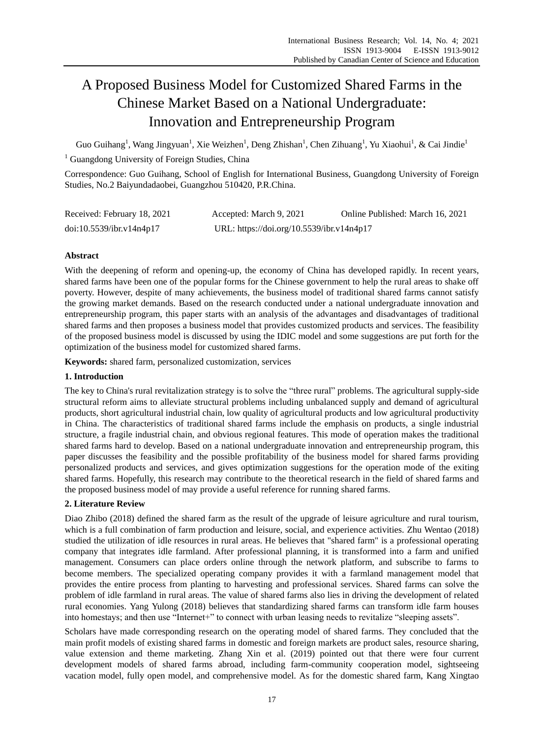# A Proposed Business Model for Customized Shared Farms in the Chinese Market Based on a National Undergraduate: Innovation and Entrepreneurship Program

Guo Guihang<sup>1</sup>, Wang Jingyuan<sup>1</sup>, Xie Weizhen<sup>1</sup>, Deng Zhishan<sup>1</sup>, Chen Zihuang<sup>1</sup>, Yu Xiaohui<sup>1</sup>, & Cai Jindie<sup>1</sup>

<sup>1</sup> Guangdong University of Foreign Studies, China

Correspondence: Guo Guihang, School of English for International Business, Guangdong University of Foreign Studies, No.2 Baiyundadaobei, Guangzhou 510420, P.R.China.

| Received: February 18, 2021 | Accepted: March 9, 2021                   | Online Published: March 16, 2021 |
|-----------------------------|-------------------------------------------|----------------------------------|
| doi:10.5539/ibr.v14n4p17    | URL: https://doi.org/10.5539/ibr.v14n4p17 |                                  |

# **Abstract**

With the deepening of reform and opening-up, the economy of China has developed rapidly. In recent years, shared farms have been one of the popular forms for the Chinese government to help the rural areas to shake off poverty. However, despite of many achievements, the business model of traditional shared farms cannot satisfy the growing market demands. Based on the research conducted under a national undergraduate innovation and entrepreneurship program, this paper starts with an analysis of the advantages and disadvantages of traditional shared farms and then proposes a business model that provides customized products and services. The feasibility of the proposed business model is discussed by using the IDIC model and some suggestions are put forth for the optimization of the business model for customized shared farms.

**Keywords:** shared farm, personalized customization, services

# **1. Introduction**

The key to China's rural revitalization strategy is to solve the "three rural" problems. The agricultural supply-side structural reform aims to alleviate structural problems including unbalanced supply and demand of agricultural products, short agricultural industrial chain, low quality of agricultural products and low agricultural productivity in China. The characteristics of traditional shared farms include the emphasis on products, a single industrial structure, a fragile industrial chain, and obvious regional features. This mode of operation makes the traditional shared farms hard to develop. Based on a national undergraduate innovation and entrepreneurship program, this paper discusses the feasibility and the possible profitability of the business model for shared farms providing personalized products and services, and gives optimization suggestions for the operation mode of the exiting shared farms. Hopefully, this research may contribute to the theoretical research in the field of shared farms and the proposed business model of may provide a useful reference for running shared farms.

# **2. Literature Review**

Diao Zhibo (2018) defined the shared farm as the result of the upgrade of leisure agriculture and rural tourism, which is a full combination of farm production and leisure, social, and experience activities. Zhu Wentao (2018) studied the utilization of idle resources in rural areas. He believes that "shared farm" is a professional operating company that integrates idle farmland. After professional planning, it is transformed into a farm and unified management. Consumers can place orders online through the network platform, and subscribe to farms to become members. The specialized operating company provides it with a farmland management model that provides the entire process from planting to harvesting and professional services. Shared farms can solve the problem of idle farmland in rural areas. The value of shared farms also lies in driving the development of related rural economies. Yang Yulong (2018) believes that standardizing shared farms can transform idle farm houses into homestays; and then use "Internet+" to connect with urban leasing needs to revitalize "sleeping assets".

Scholars have made corresponding research on the operating model of shared farms. They concluded that the main profit models of existing shared farms in domestic and foreign markets are product sales, resource sharing, value extension and theme marketing. Zhang Xin et al. (2019) pointed out that there were four current development models of shared farms abroad, including farm-community cooperation model, sightseeing vacation model, fully open model, and comprehensive model. As for the domestic shared farm, Kang Xingtao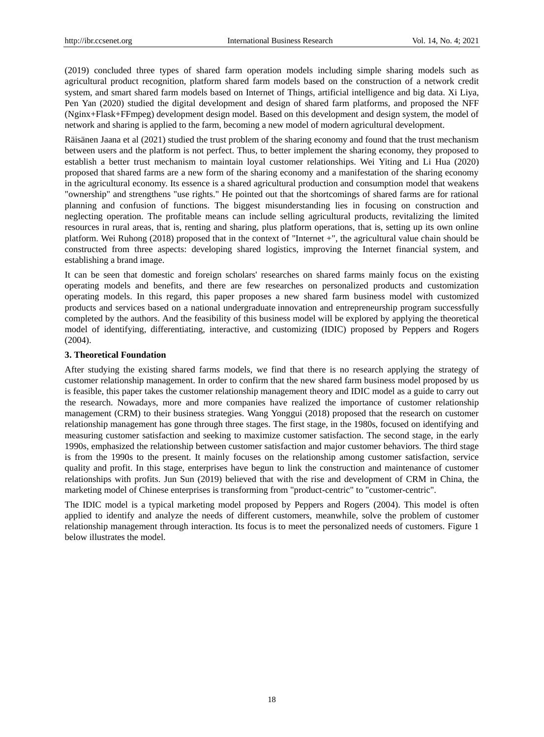(2019) concluded three types of shared farm operation models including simple sharing models such as agricultural product recognition, platform shared farm models based on the construction of a network credit system, and smart shared farm models based on Internet of Things, artificial intelligence and big data. Xi Liya, Pen Yan (2020) studied the digital development and design of shared farm platforms, and proposed the NFF (Nginx+Flask+FFmpeg) development design model. Based on this development and design system, the model of network and sharing is applied to the farm, becoming a new model of modern agricultural development.

Räisänen Jaana et al (2021) studied the trust problem of the sharing economy and found that the trust mechanism between users and the platform is not perfect. Thus, to better implement the sharing economy, they proposed to establish a better trust mechanism to maintain loyal customer relationships. Wei Yiting and Li Hua (2020) proposed that shared farms are a new form of the sharing economy and a manifestation of the sharing economy in the agricultural economy. Its essence is a shared agricultural production and consumption model that weakens "ownership" and strengthens "use rights." He pointed out that the shortcomings of shared farms are for rational planning and confusion of functions. The biggest misunderstanding lies in focusing on construction and neglecting operation. The profitable means can include selling agricultural products, revitalizing the limited resources in rural areas, that is, renting and sharing, plus platform operations, that is, setting up its own online platform. Wei Ruhong (2018) proposed that in the context of "Internet +", the agricultural value chain should be constructed from three aspects: developing shared logistics, improving the Internet financial system, and establishing a brand image.

It can be seen that domestic and foreign scholars' researches on shared farms mainly focus on the existing operating models and benefits, and there are few researches on personalized products and customization operating models. In this regard, this paper proposes a new shared farm business model with customized products and services based on a national undergraduate innovation and entrepreneurship program successfully completed by the authors. And the feasibility of this business model will be explored by applying the theoretical model of identifying, differentiating, interactive, and customizing (IDIC) proposed by Peppers and Rogers (2004).

#### **3. Theoretical Foundation**

After studying the existing shared farms models, we find that there is no research applying the strategy of customer relationship management. In order to confirm that the new shared farm business model proposed by us is feasible, this paper takes the customer relationship management theory and IDIC model as a guide to carry out the research. Nowadays, more and more companies have realized the importance of customer relationship management (CRM) to their business strategies. Wang Yonggui (2018) proposed that the research on customer relationship management has gone through three stages. The first stage, in the 1980s, focused on identifying and measuring customer satisfaction and seeking to maximize customer satisfaction. The second stage, in the early 1990s, emphasized the relationship between customer satisfaction and major customer behaviors. The third stage is from the 1990s to the present. It mainly focuses on the relationship among customer satisfaction, service quality and profit. In this stage, enterprises have begun to link the construction and maintenance of customer relationships with profits. Jun Sun (2019) believed that with the rise and development of CRM in China, the marketing model of Chinese enterprises is transforming from "product-centric" to "customer-centric".

The IDIC model is a typical marketing model proposed by Peppers and Rogers (2004). This model is often applied to identify and analyze the needs of different customers, meanwhile, solve the problem of customer relationship management through interaction. Its focus is to meet the personalized needs of customers. Figure 1 below illustrates the model.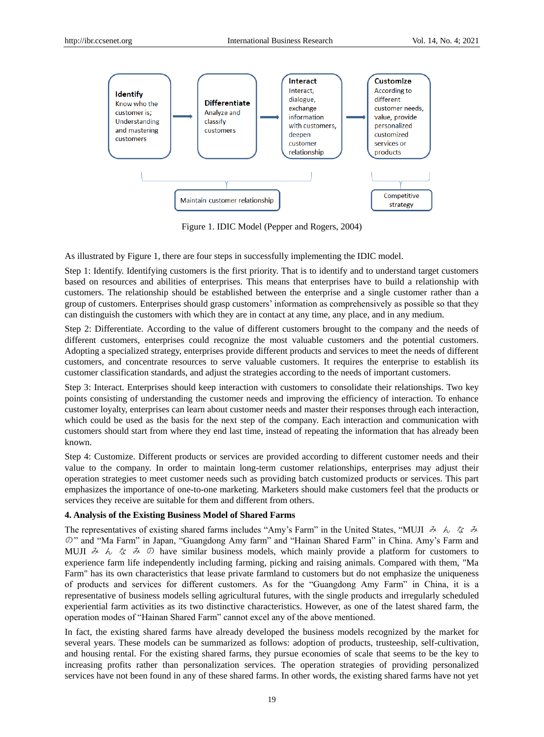

Figure 1. IDIC Model (Pepper and Rogers, 2004)

As illustrated by Figure 1, there are four steps in successfully implementing the IDIC model.

Step 1: Identify. Identifying customers is the first priority. That is to identify and to understand target customers based on resources and abilities of enterprises. This means that enterprises have to build a relationship with customers. The relationship should be established between the enterprise and a single customer rather than a group of customers. Enterprises should grasp customers' information as comprehensively as possible so that they can distinguish the customers with which they are in contact at any time, any place, and in any medium.

Step 2: Differentiate. According to the value of different customers brought to the company and the needs of different customers, enterprises could recognize the most valuable customers and the potential customers. Adopting a specialized strategy, enterprises provide different products and services to meet the needs of different customers, and concentrate resources to serve valuable customers. It requires the enterprise to establish its customer classification standards, and adjust the strategies according to the needs of important customers.

Step 3: Interact. Enterprises should keep interaction with customers to consolidate their relationships. Two key points consisting of understanding the customer needs and improving the efficiency of interaction. To enhance customer loyalty, enterprises can learn about customer needs and master their responses through each interaction, which could be used as the basis for the next step of the company. Each interaction and communication with customers should start from where they end last time, instead of repeating the information that has already been known.

Step 4: Customize. Different products or services are provided according to different customer needs and their value to the company. In order to maintain long-term customer relationships, enterprises may adjust their operation strategies to meet customer needs such as providing batch customized products or services. This part emphasizes the importance of one-to-one marketing. Marketers should make customers feel that the products or services they receive are suitable for them and different from others.

#### **4. Analysis of the Existing Business Model of Shared Farms**

The representatives of existing shared farms includes "Amy's Farm" in the United States, "MUJI  $\phi \phi \phi \phi$ " の" and "Ma Farm" in Japan, "Guangdong Amy farm" and "Hainan Shared Farm" in China. Amy's Farm and MUJI  $\lambda$   $\lambda$   $\zeta$   $\lambda$   $\varphi$  have similar business models, which mainly provide a platform for customers to experience farm life independently including farming, picking and raising animals. Compared with them, "Ma Farm" has its own characteristics that lease private farmland to customers but do not emphasize the uniqueness of products and services for different customers. As for the "Guangdong Amy Farm" in China, it is a representative of business models selling agricultural futures, with the single products and irregularly scheduled experiential farm activities as its two distinctive characteristics. However, as one of the latest shared farm, the operation modes of "Hainan Shared Farm" cannot excel any of the above mentioned.

In fact, the existing shared farms have already developed the business models recognized by the market for several years. These models can be summarized as follows: adoption of products, trusteeship, self-cultivation, and housing rental. For the existing shared farms, they pursue economies of scale that seems to be the key to increasing profits rather than personalization services. The operation strategies of providing personalized services have not been found in any of these shared farms. In other words, the existing shared farms have not yet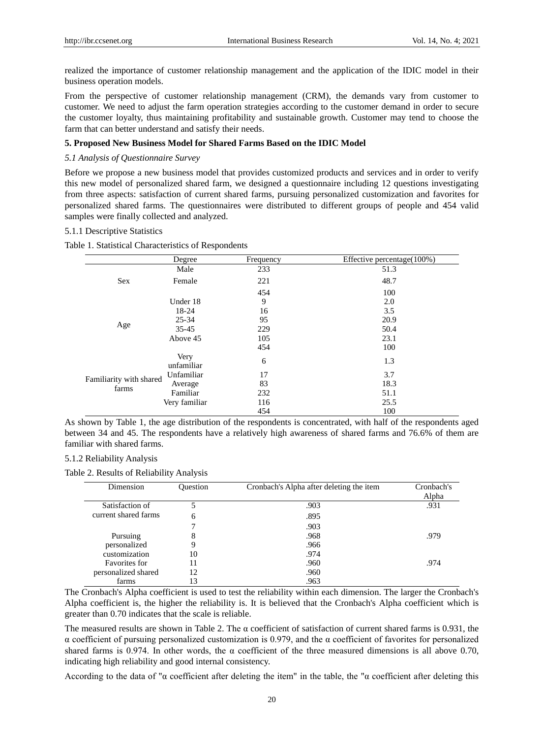realized the importance of customer relationship management and the application of the IDIC model in their business operation models.

From the perspective of customer relationship management (CRM), the demands vary from customer to customer. We need to adjust the farm operation strategies according to the customer demand in order to secure the customer loyalty, thus maintaining profitability and sustainable growth. Customer may tend to choose the farm that can better understand and satisfy their needs.

# **5. Proposed New Business Model for Shared Farms Based on the IDIC Model**

## *5.1 Analysis of Questionnaire Survey*

Before we propose a new business model that provides customized products and services and in order to verify this new model of personalized shared farm, we designed a questionnaire including 12 questions investigating from three aspects: satisfaction of current shared farms, pursuing personalized customization and favorites for personalized shared farms. The questionnaires were distributed to different groups of people and 454 valid samples were finally collected and analyzed.

#### 5.1.1 Descriptive Statistics

Table 1. Statistical Characteristics of Respondents

|                                  | Degree             | Frequency | Effective percentage $(100\%)$ |
|----------------------------------|--------------------|-----------|--------------------------------|
|                                  | Male               | 233       | 51.3                           |
| <b>Sex</b>                       | Female             | 221       | 48.7                           |
|                                  |                    | 454       | 100                            |
|                                  | Under 18           | 9         | 2.0                            |
|                                  | 18-24              | 16        | 3.5                            |
|                                  | $25 - 34$          | 95        | 20.9                           |
| Age                              | $35 - 45$          | 229       | 50.4                           |
|                                  | Above 45           | 105       | 23.1                           |
|                                  |                    | 454       | 100                            |
| Familiarity with shared<br>farms | Very<br>unfamiliar | 6         | 1.3                            |
|                                  | Unfamiliar         | 17        | 3.7                            |
|                                  | Average            | 83        | 18.3                           |
|                                  | Familiar           | 232       | 51.1                           |
|                                  | Very familiar      | 116       | 25.5                           |
|                                  |                    | 454       | 100                            |

As shown by Table 1, the age distribution of the respondents is concentrated, with half of the respondents aged between 34 and 45. The respondents have a relatively high awareness of shared farms and 76.6% of them are familiar with shared farms.

5.1.2 Reliability Analysis

Table 2. Results of Reliability Analysis

| Dimension            | <b>Ouestion</b> | Cronbach's Alpha after deleting the item | Cronbach's<br>Alpha |
|----------------------|-----------------|------------------------------------------|---------------------|
| Satisfaction of      |                 | .903                                     | .931                |
| current shared farms | 6               | .895                                     |                     |
|                      | −               | .903                                     |                     |
| Pursuing             | 8               | .968                                     | .979                |
| personalized         | 9               | .966                                     |                     |
| customization        | 10              | .974                                     |                     |
| Favorites for        | 11              | .960                                     | .974                |
| personalized shared  | 12              | .960                                     |                     |
| farms                | 13              | .963                                     |                     |

The Cronbach's Alpha coefficient is used to test the reliability within each dimension. The larger the Cronbach's Alpha coefficient is, the higher the reliability is. It is believed that the Cronbach's Alpha coefficient which is greater than 0.70 indicates that the scale is reliable.

The measured results are shown in Table 2. The  $\alpha$  coefficient of satisfaction of current shared farms is 0.931, the α coefficient of pursuing personalized customization is 0.979, and the α coefficient of favorites for personalized shared farms is 0.974. In other words, the  $\alpha$  coefficient of the three measured dimensions is all above 0.70, indicating high reliability and good internal consistency.

According to the data of " $\alpha$  coefficient after deleting the item" in the table, the " $\alpha$  coefficient after deleting this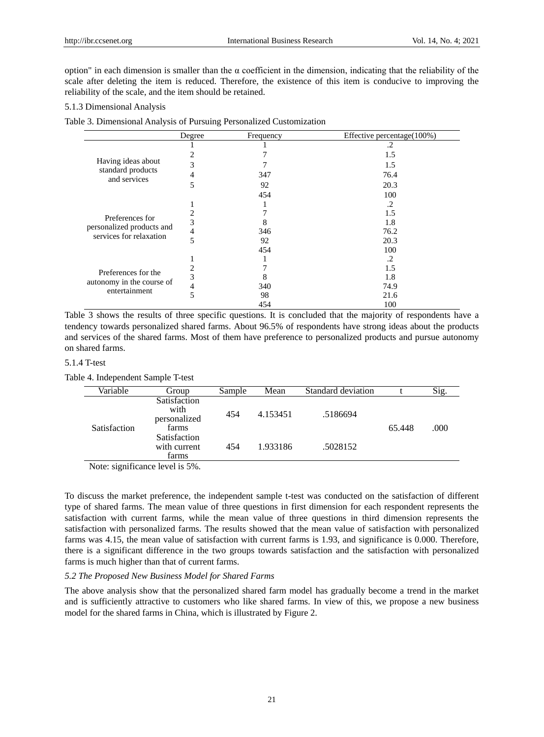option" in each dimension is smaller than the α coefficient in the dimension, indicating that the reliability of the scale after deleting the item is reduced. Therefore, the existence of this item is conducive to improving the reliability of the scale, and the item should be retained.

## 5.1.3 Dimensional Analysis

Table 3. Dimensional Analysis of Pursuing Personalized Customization

|                                                                   | Degree | Frequency | Effective percentage(100%) |
|-------------------------------------------------------------------|--------|-----------|----------------------------|
| Having ideas about<br>standard products<br>and services           |        |           | .2                         |
|                                                                   |        |           | 1.5                        |
|                                                                   | 3      |           | 1.5                        |
|                                                                   | 4      | 347       | 76.4                       |
|                                                                   | 5      | 92        | 20.3                       |
|                                                                   |        | 454       | 100                        |
|                                                                   |        |           | .2                         |
| Preferences for                                                   |        |           | 1.5                        |
|                                                                   | 3      | 8         | 1.8                        |
| personalized products and<br>services for relaxation              | 4      | 346       | 76.2                       |
|                                                                   | 5      | 92        | 20.3                       |
|                                                                   |        | 454       | 100                        |
| Preferences for the<br>autonomy in the course of<br>entertainment |        |           | .2                         |
|                                                                   |        |           | 1.5                        |
|                                                                   | 3      | 8         | 1.8                        |
|                                                                   | 4      | 340       | 74.9                       |
|                                                                   | 5      | 98        | 21.6                       |
|                                                                   |        | 454       | 100                        |

Table 3 shows the results of three specific questions. It is concluded that the majority of respondents have a tendency towards personalized shared farms. About 96.5% of respondents have strong ideas about the products and services of the shared farms. Most of them have preference to personalized products and pursue autonomy on shared farms.

# 5.1.4 T-test

Table 4. Independent Sample T-test

| Variable            | Group                                                | Sample | Mean     | Standard deviation |                | Sig. |
|---------------------|------------------------------------------------------|--------|----------|--------------------|----------------|------|
| <b>Satisfaction</b> | <b>Satisfaction</b><br>with<br>personalized<br>farms | 454    | 4.153451 | .5186694           | .000<br>65.448 |      |
|                     | Satisfaction<br>with current<br>farms                | 454    | 1.933186 | .5028152           |                |      |

Note: significance level is 5%.

To discuss the market preference, the independent sample t-test was conducted on the satisfaction of different type of shared farms. The mean value of three questions in first dimension for each respondent represents the satisfaction with current farms, while the mean value of three questions in third dimension represents the satisfaction with personalized farms. The results showed that the mean value of satisfaction with personalized farms was 4.15, the mean value of satisfaction with current farms is 1.93, and significance is 0.000. Therefore, there is a significant difference in the two groups towards satisfaction and the satisfaction with personalized farms is much higher than that of current farms.

#### *5.2 The Proposed New Business Model for Shared Farms*

The above analysis show that the personalized shared farm model has gradually become a trend in the market and is sufficiently attractive to customers who like shared farms. In view of this, we propose a new business model for the shared farms in China, which is illustrated by Figure 2.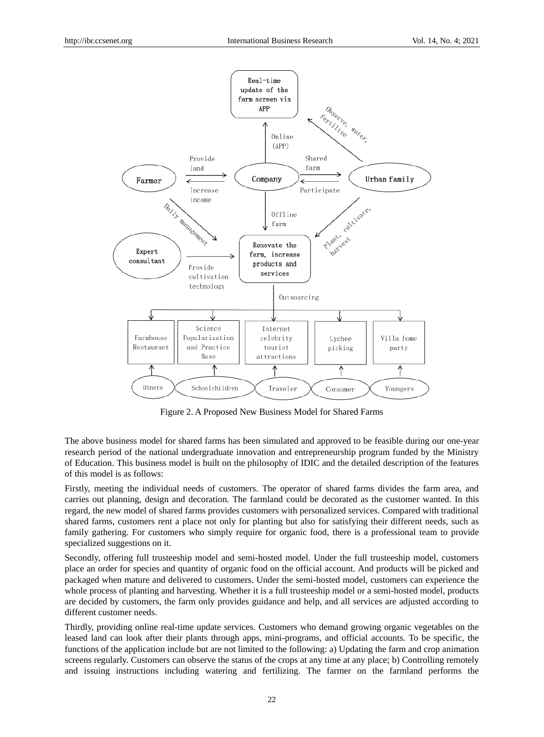

Figure 2. A Proposed New Business Model for Shared Farms

The above business model for shared farms has been simulated and approved to be feasible during our one-year research period of the national undergraduate innovation and entrepreneurship program funded by the Ministry of Education. This business model is built on the philosophy of IDIC and the detailed description of the features of this model is as follows:

Firstly, meeting the individual needs of customers. The operator of shared farms divides the farm area, and carries out planning, design and decoration. The farmland could be decorated as the customer wanted. In this regard, the new model of shared farms provides customers with personalized services. Compared with traditional shared farms, customers rent a place not only for planting but also for satisfying their different needs, such as family gathering. For customers who simply require for organic food, there is a professional team to provide specialized suggestions on it.

Secondly, offering full trusteeship model and semi-hosted model. Under the full trusteeship model, customers place an order for species and quantity of organic food on the official account. And products will be picked and packaged when mature and delivered to customers. Under the semi-hosted model, customers can experience the whole process of planting and harvesting. Whether it is a full trusteeship model or a semi-hosted model, products are decided by customers, the farm only provides guidance and help, and all services are adjusted according to different customer needs.

Thirdly, providing online real-time update services. Customers who demand growing organic vegetables on the leased land can look after their plants through apps, mini-programs, and official accounts. To be specific, the functions of the application include but are not limited to the following: a) Updating the farm and crop animation screens regularly. Customers can observe the status of the crops at any time at any place; b) Controlling remotely and issuing instructions including watering and fertilizing. The farmer on the farmland performs the

22